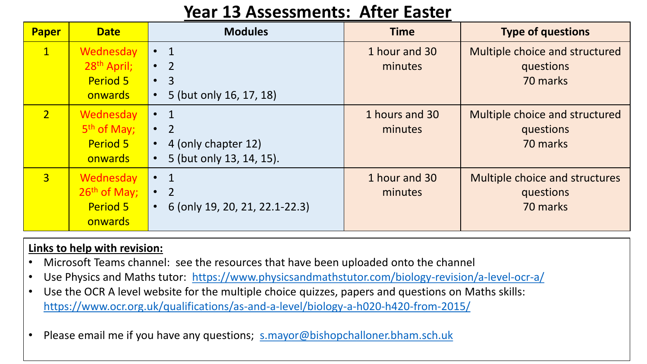# **Year 13 Assessments: After Easter**

| Paper          | <b>Date</b>                                                        | <b>Modules</b>                                                                                             | <b>Time</b>               | <b>Type of questions</b>                                |
|----------------|--------------------------------------------------------------------|------------------------------------------------------------------------------------------------------------|---------------------------|---------------------------------------------------------|
| $\mathbf{1}$   | Wednesday<br>28 <sup>th</sup> April;<br><b>Period 5</b><br>onwards | $\overline{1}$<br>$\bullet$<br>$\bullet$ 2<br>$\cdot$ 3<br>5 (but only 16, 17, 18)                         | 1 hour and 30<br>minutes  | Multiple choice and structured<br>questions<br>70 marks |
| $\overline{2}$ | Wednesday<br>5 <sup>th</sup> of May;<br><b>Period 5</b><br>onwards | $\bullet$ 1<br>$\overline{2}$<br>$\bullet$<br>4 (only chapter 12)<br>$\bullet$<br>5 (but only 13, 14, 15). | 1 hours and 30<br>minutes | Multiple choice and structured<br>questions<br>70 marks |
| $\overline{3}$ | Wednesday<br>26th of May;<br><b>Period 5</b><br>onwards            | $\mathbf 1$<br>$\bullet$<br>$\overline{2}$<br>$\bullet$<br>6 (only 19, 20, 21, 22.1-22.3)<br>$\bullet$     | 1 hour and 30<br>minutes  | Multiple choice and structures<br>questions<br>70 marks |

## **Links to help with revision:**

- Microsoft Teams channel: see the resources that have been uploaded onto the channel
- Use Physics and Maths tutor: <https://www.physicsandmathstutor.com/biology-revision/a-level-ocr-a/>
- Use the OCR A level website for the multiple choice quizzes, papers and questions on Maths skills: <https://www.ocr.org.uk/qualifications/as-and-a-level/biology-a-h020-h420-from-2015/>
- Please email me if you have any questions; [s.mayor@bishopchalloner.bham.sch.uk](mailto:s.mayor@bishopchalloner.bham.sch.uk)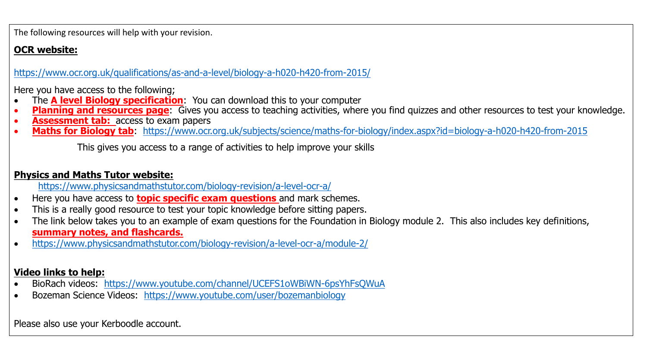The following resources will help with your revision.

## **OCR website:**

<https://www.ocr.org.uk/qualifications/as-and-a-level/biology-a-h020-h420-from-2015/>

Here you have access to the following;

- The **A level Biology specification**: You can download this to your computer
- **Planning and resources page**: Gives you access to teaching activities, where you find quizzes and other resources to test your knowledge.
- **Assessment tab:** access to exam papers
- **Maths for Biology tab**: <https://www.ocr.org.uk/subjects/science/maths-for-biology/index.aspx?id=biology-a-h020-h420-from-2015>

This gives you access to a range of activities to help improve your skills

## **Physics and Maths Tutor website:**

<https://www.physicsandmathstutor.com/biology-revision/a-level-ocr-a/>

- Here you have access to **topic specific exam questions** and mark schemes.
- This is a really good resource to test your topic knowledge before sitting papers.
- The link below takes you to an example of exam questions for the Foundation in Biology module 2. This also includes key definitions, **summary notes, and flashcards.**
- <https://www.physicsandmathstutor.com/biology-revision/a-level-ocr-a/module-2/>

### **Video links to help:**

- BioRach videos: <https://www.youtube.com/channel/UCEFS1oWBiWN-6psYhFsQWuA>
- Bozeman Science Videos: <https://www.youtube.com/user/bozemanbiology>

Please also use your Kerboodle account.